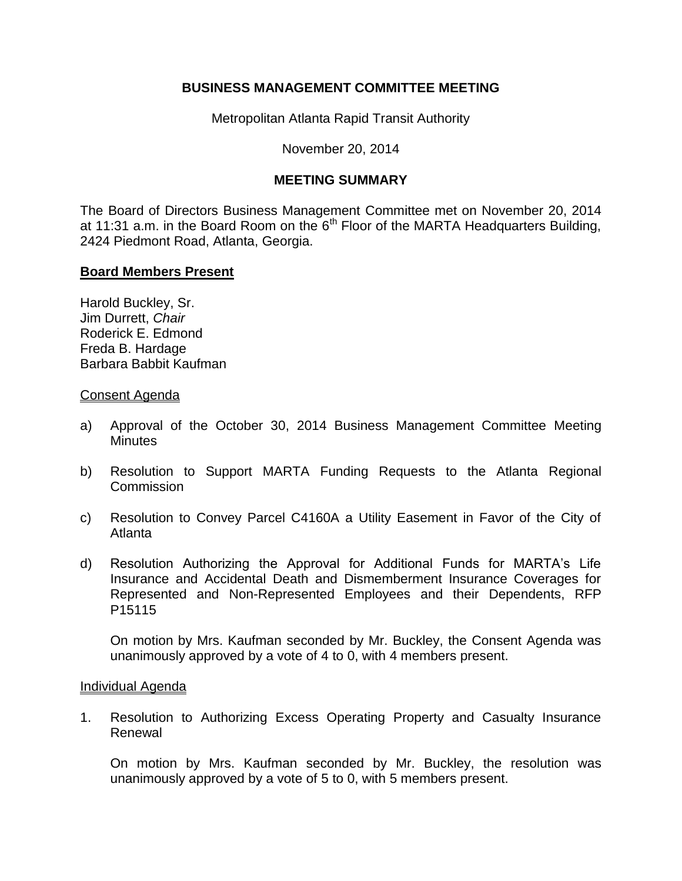# **BUSINESS MANAGEMENT COMMITTEE MEETING**

Metropolitan Atlanta Rapid Transit Authority

November 20, 2014

# **MEETING SUMMARY**

The Board of Directors Business Management Committee met on November 20, 2014 at 11:31 a.m. in the Board Room on the  $6<sup>th</sup>$  Floor of the MARTA Headquarters Building, 2424 Piedmont Road, Atlanta, Georgia.

## **Board Members Present**

Harold Buckley, Sr. Jim Durrett, *Chair* Roderick E. Edmond Freda B. Hardage Barbara Babbit Kaufman

## Consent Agenda

- a) Approval of the October 30, 2014 Business Management Committee Meeting **Minutes**
- b) Resolution to Support MARTA Funding Requests to the Atlanta Regional **Commission**
- c) Resolution to Convey Parcel C4160A a Utility Easement in Favor of the City of Atlanta
- d) Resolution Authorizing the Approval for Additional Funds for MARTA's Life Insurance and Accidental Death and Dismemberment Insurance Coverages for Represented and Non-Represented Employees and their Dependents, RFP P15115

On motion by Mrs. Kaufman seconded by Mr. Buckley, the Consent Agenda was unanimously approved by a vote of 4 to 0, with 4 members present.

## Individual Agenda

1. Resolution to Authorizing Excess Operating Property and Casualty Insurance Renewal

On motion by Mrs. Kaufman seconded by Mr. Buckley, the resolution was unanimously approved by a vote of 5 to 0, with 5 members present.